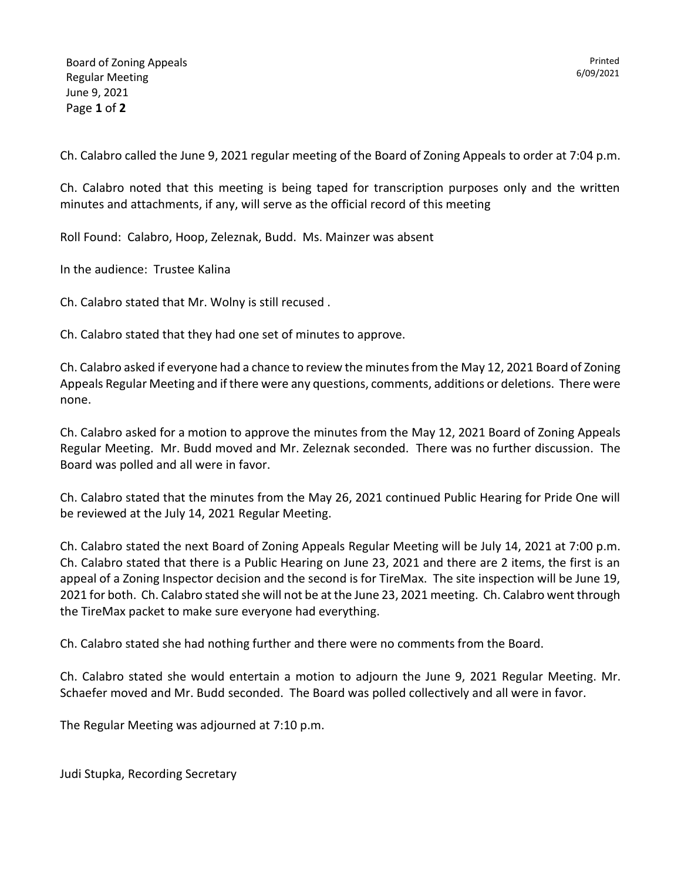6/09/2021

Printed

Ch. Calabro called the June 9, 2021 regular meeting of the Board of Zoning Appeals to order at 7:04 p.m.

Ch. Calabro noted that this meeting is being taped for transcription purposes only and the written minutes and attachments, if any, will serve as the official record of this meeting

Roll Found: Calabro, Hoop, Zeleznak, Budd. Ms. Mainzer was absent

In the audience: Trustee Kalina

Ch. Calabro stated that Mr. Wolny is still recused .

Ch. Calabro stated that they had one set of minutes to approve.

Ch. Calabro asked if everyone had a chance to review the minutes from the May 12, 2021 Board of Zoning Appeals Regular Meeting and if there were any questions, comments, additions or deletions. There were none.

Ch. Calabro asked for a motion to approve the minutes from the May 12, 2021 Board of Zoning Appeals Regular Meeting. Mr. Budd moved and Mr. Zeleznak seconded. There was no further discussion. The Board was polled and all were in favor.

Ch. Calabro stated that the minutes from the May 26, 2021 continued Public Hearing for Pride One will be reviewed at the July 14, 2021 Regular Meeting.

Ch. Calabro stated the next Board of Zoning Appeals Regular Meeting will be July 14, 2021 at 7:00 p.m. Ch. Calabro stated that there is a Public Hearing on June 23, 2021 and there are 2 items, the first is an appeal of a Zoning Inspector decision and the second is for TireMax. The site inspection will be June 19, 2021 for both. Ch. Calabro stated she will not be at the June 23, 2021 meeting. Ch. Calabro went through the TireMax packet to make sure everyone had everything.

Ch. Calabro stated she had nothing further and there were no comments from the Board.

Ch. Calabro stated she would entertain a motion to adjourn the June 9, 2021 Regular Meeting. Mr. Schaefer moved and Mr. Budd seconded. The Board was polled collectively and all were in favor.

The Regular Meeting was adjourned at 7:10 p.m.

Judi Stupka, Recording Secretary